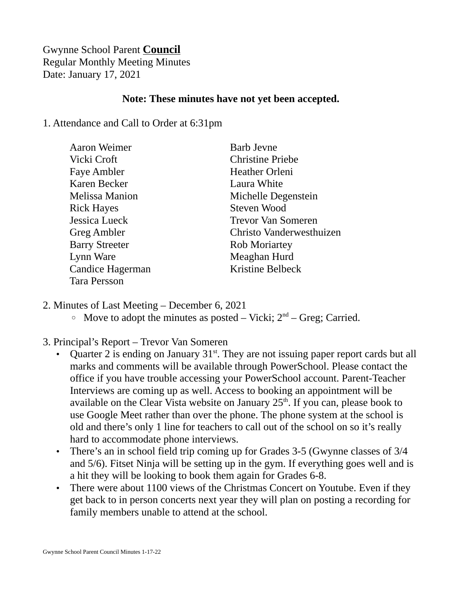## Gwynne School Parent **Council** Regular Monthly Meeting Minutes Date: January 17, 2021

## **Note: These minutes have not yet been accepted.**

## 1. Attendance and Call to Order at 6:31pm

| <b>Aaron Weimer</b>   | <b>Barb Jevne</b>         |
|-----------------------|---------------------------|
| Vicki Croft           | <b>Christine Priebe</b>   |
| <b>Faye Ambler</b>    | <b>Heather Orleni</b>     |
| Karen Becker          | Laura White               |
| <b>Melissa Manion</b> | Michelle Degenstein       |
| <b>Rick Hayes</b>     | Steven Wood               |
| Jessica Lueck         | <b>Trevor Van Someren</b> |
| <b>Greg Ambler</b>    | Christo Vanderwesthuizen  |
| <b>Barry Streeter</b> | <b>Rob Moriartey</b>      |
| Lynn Ware             | Meaghan Hurd              |
| Candice Hagerman      | <b>Kristine Belbeck</b>   |
| <b>Tara Persson</b>   |                           |

- 2. Minutes of Last Meeting December 6, 2021
	- $\degree$  Move to adopt the minutes as posted Vicki;  $2<sup>nd</sup>$  Greg; Carried.
- 3. Principal's Report Trevor Van Someren
	- Quarter 2 is ending on January  $31<sup>st</sup>$ . They are not issuing paper report cards but all marks and comments will be available through PowerSchool. Please contact the office if you have trouble accessing your PowerSchool account. Parent-Teacher Interviews are coming up as well. Access to booking an appointment will be available on the Clear Vista website on January  $25<sup>th</sup>$ . If you can, please book to use Google Meet rather than over the phone. The phone system at the school is old and there's only 1 line for teachers to call out of the school on so it's really hard to accommodate phone interviews.
	- There's an in school field trip coming up for Grades 3-5 (Gwynne classes of 3/4 and 5/6). Fitset Ninja will be setting up in the gym. If everything goes well and is a hit they will be looking to book them again for Grades 6-8.
	- There were about 1100 views of the Christmas Concert on Youtube. Even if they get back to in person concerts next year they will plan on posting a recording for family members unable to attend at the school.